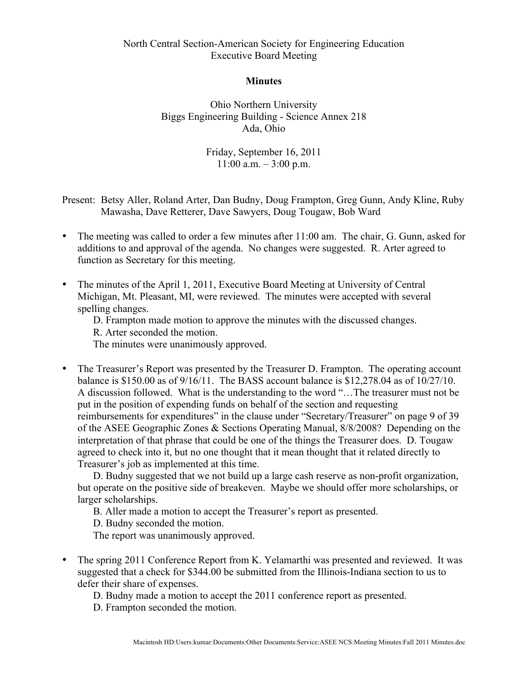## North Central Section-American Society for Engineering Education Executive Board Meeting

## **Minutes**

Ohio Northern University Biggs Engineering Building - Science Annex 218 Ada, Ohio

> Friday, September 16, 2011  $11:00$  a.m.  $-3:00$  p.m.

- Present: Betsy Aller, Roland Arter, Dan Budny, Doug Frampton, Greg Gunn, Andy Kline, Ruby Mawasha, Dave Retterer, Dave Sawyers, Doug Tougaw, Bob Ward
- The meeting was called to order a few minutes after 11:00 am. The chair, G. Gunn, asked for additions to and approval of the agenda. No changes were suggested. R. Arter agreed to function as Secretary for this meeting.

• The minutes of the April 1, 2011, Executive Board Meeting at University of Central Michigan, Mt. Pleasant, MI, were reviewed. The minutes were accepted with several spelling changes.

D. Frampton made motion to approve the minutes with the discussed changes.

R. Arter seconded the motion.

The minutes were unanimously approved.

• The Treasurer's Report was presented by the Treasurer D. Frampton. The operating account balance is \$150.00 as of  $9/16/11$ . The BASS account balance is \$12,278.04 as of  $10/27/10$ . A discussion followed. What is the understanding to the word "…The treasurer must not be put in the position of expending funds on behalf of the section and requesting reimbursements for expenditures" in the clause under "Secretary/Treasurer" on page 9 of 39 of the ASEE Geographic Zones & Sections Operating Manual, 8/8/2008? Depending on the interpretation of that phrase that could be one of the things the Treasurer does. D. Tougaw agreed to check into it, but no one thought that it mean thought that it related directly to Treasurer's job as implemented at this time.

D. Budny suggested that we not build up a large cash reserve as non-profit organization, but operate on the positive side of breakeven. Maybe we should offer more scholarships, or larger scholarships.

B. Aller made a motion to accept the Treasurer's report as presented.

D. Budny seconded the motion.

The report was unanimously approved.

- The spring 2011 Conference Report from K. Yelamarthi was presented and reviewed. It was suggested that a check for \$344.00 be submitted from the Illinois-Indiana section to us to defer their share of expenses.
	- D. Budny made a motion to accept the 2011 conference report as presented.
	- D. Frampton seconded the motion.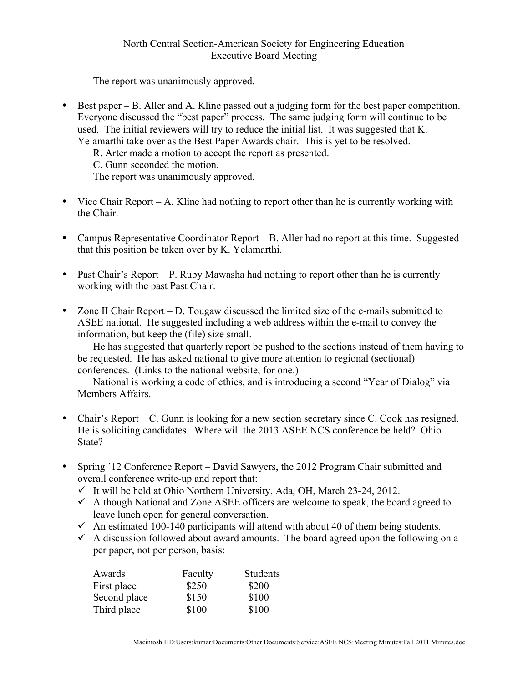## North Central Section-American Society for Engineering Education Executive Board Meeting

The report was unanimously approved.

- Best paper B. Aller and A. Kline passed out a judging form for the best paper competition. Everyone discussed the "best paper" process. The same judging form will continue to be used. The initial reviewers will try to reduce the initial list. It was suggested that K. Yelamarthi take over as the Best Paper Awards chair. This is yet to be resolved.
	- R. Arter made a motion to accept the report as presented.
	- C. Gunn seconded the motion.

The report was unanimously approved.

- Vice Chair Report A. Kline had nothing to report other than he is currently working with the Chair.
- Campus Representative Coordinator Report B. Aller had no report at this time. Suggested that this position be taken over by K. Yelamarthi.
- Past Chair's Report P. Ruby Mawasha had nothing to report other than he is currently working with the past Past Chair.
- Zone II Chair Report D. Tougaw discussed the limited size of the e-mails submitted to ASEE national. He suggested including a web address within the e-mail to convey the information, but keep the (file) size small.

He has suggested that quarterly report be pushed to the sections instead of them having to be requested. He has asked national to give more attention to regional (sectional) conferences. (Links to the national website, for one.)

National is working a code of ethics, and is introducing a second "Year of Dialog" via Members Affairs.

- Chair's Report C. Gunn is looking for a new section secretary since C. Cook has resigned. He is soliciting candidates. Where will the 2013 ASEE NCS conference be held? Ohio State?
- Spring '12 Conference Report David Sawyers, the 2012 Program Chair submitted and overall conference write-up and report that:
	- $\checkmark$  It will be held at Ohio Northern University, Ada, OH, March 23-24, 2012.
	- $\checkmark$  Although National and Zone ASEE officers are welcome to speak, the board agreed to leave lunch open for general conversation.
	- $\checkmark$  An estimated 100-140 participants will attend with about 40 of them being students.
	- $\checkmark$  A discussion followed about award amounts. The board agreed upon the following on a per paper, not per person, basis:

| Awards       | Faculty | <b>Students</b> |
|--------------|---------|-----------------|
| First place  | \$250   | \$200           |
| Second place | \$150   | \$100           |
| Third place  | \$100   | \$100           |